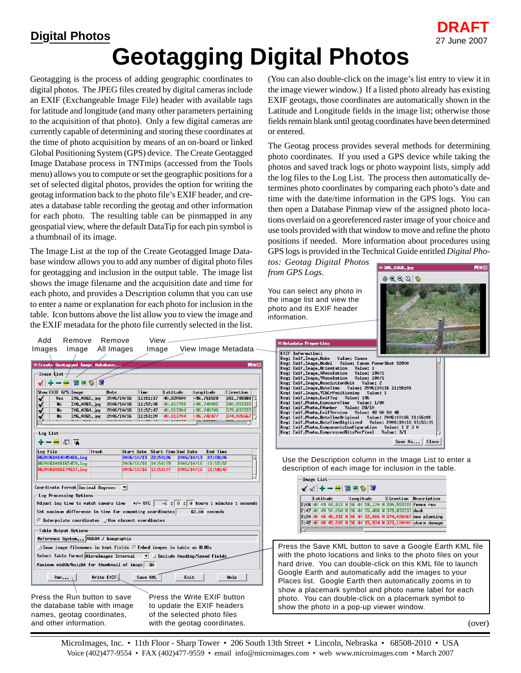## **Geotagging Digital Photos**

Geotagging is the process of adding geographic coordinates to digital photos. The JPEG files created by digital cameras include an EXIF (Exchangeable Image File) header with available tags for latitude and longitude (and many other parameters pertaining to the acquisition of that photo). Only a few digital cameras are currently capable of determining and storing these coordinates at the time of photo acquisition by means of an on-board or linked Global Positioning System (GPS) device. The Create Geotagged Image Database process in TNTmips (accessed from the Tools menu) allows you to compute or set the geographic positions for a set of selected digital photos, provides the option for writing the geotag information back to the photo file's EXIF header, and creates a database table recording the geotag and other information for each photo. The resulting table can be pinmapped in any geospatial view, where the default DataTip for each pin symbol is a thumbnail of its image.

The Image List at the top of the Create Geotagged Image Database window allows you to add any number of digital photo files for geotagging and inclusion in the output table. The image list shows the image filename and the acquisition date and time for each photo, and provides a Description column that you can use to enter a name or explanation for each photo for inclusion in the table. Icon buttons above the list allow you to view the image and the EXIF metadata for the photo file currently selected in the list. (You can also double-click on the image's list entry to view it in the image viewer window.) If a listed photo already has existing EXIF geotags, those coordinates are automatically shown in the Latitude and Longitude fields in the image list; otherwise those fields remain blank until geotag coordinates have been determined or entered.

The Geotag process provides several methods for determining photo coordinates. If you used a GPS device while taking the photos and saved track logs or photo waypoint lists, simply add the log files to the Log List. The process then automatically determines photo coordinates by comparing each photo's date and time with the date/time information in the GPS logs. You can then open a Database Pinmap view of the assigned photo locations overlaid on a georeferenced raster image of your choice and use tools provided with that window to move and refine the photo positions if needed. More information about procedures using GPS logs is provided in the Technical Guide entitled *Digital Pho-*

*tos: Geotag Digital Photos from GPS Logs*.

You can select any photo in the image list and view the photo and its EXIF header information.



| View.<br>Remove<br>Remove<br>Add<br>All Images<br>View Image Metadata<br>Image<br>Image<br>Images<br>EDX<br>Create Geotagged Inage Database,<br>Inage List<br>- # 12 2<br><b>BS</b><br>$\circ$<br>Show EXIF GPS Inage<br>Tine<br>Latitude<br>Longitude<br>Elevation<br>Date<br>381.799988<br>ING_0362.jpg<br>2006/10/16<br>11:51:37<br>40.820500<br>$-96,751528$<br>Yes<br>380, 553333<br>11:52:06<br>40,817726<br>$-96,749492$<br>No<br>IMG_0363.jpg<br>2006/10/16<br>40,813904<br>$-96,748746$<br>379,833333<br>No<br>ING_0364.jpg<br>2006/10/16<br>11:52:47<br>ING_0365.jpg<br>11:53:20<br>40,813704<br>$-96,742477$<br>374,026667<br><b>No</b><br>2006/10/16<br>⊴.<br>-Log List<br>+−₩ 5 ∏∖<br>Log File<br>Track<br>Start Date Start Time End Date<br><b>End Time</b> | <b>■Netadata Properties</b><br><b>EXIF Information:</b><br>Key: Exif.Inage.Make<br>Value: Canon<br>Key: Exif.Inage.Model Value: Canon PowerShot SD900<br>Key: Exif.Inage.Orientation<br>Value: 1<br>Key: Exif.Inage.XResolution<br>Value: 180/1<br>Key: Exif. Inage. YResolution<br>Value: 180/1<br>Key: Exif.Inage.ResolutionUnit Value: 2<br>Key: Exif. Inage. Date Tine    Value: 2006:10:16 11:55:01<br>Key: Exif.Inage.YCbCrPositioning Value: 1<br>Key: Exif.Inage.ExifTag Value: 196<br>Key: Exif.Photo.ExposureTine Value: 1/80<br>Key: Exif.Photo.FNumber Value: 28/10<br>Key: Exif.Photo.ExifVersion Value: 48 50 50 48<br>Key: Exif.Photo.DateTineOriginal Value: 2006:10:16 11:55:01<br>Key: Exif.Photo.ComponentsConfiguration Value: 1 2 3 0<br>Key: Exif.Photo.CompressedBitsPerPixel Value: 3/1<br>Save $\mathsf{As}$<br>Close |
|---------------------------------------------------------------------------------------------------------------------------------------------------------------------------------------------------------------------------------------------------------------------------------------------------------------------------------------------------------------------------------------------------------------------------------------------------------------------------------------------------------------------------------------------------------------------------------------------------------------------------------------------------------------------------------------------------------------------------------------------------------------------------|------------------------------------------------------------------------------------------------------------------------------------------------------------------------------------------------------------------------------------------------------------------------------------------------------------------------------------------------------------------------------------------------------------------------------------------------------------------------------------------------------------------------------------------------------------------------------------------------------------------------------------------------------------------------------------------------------------------------------------------------------------------------------------------------------------------------------------------------|
| HG20061014045426, log<br>2006/10/13 22:54:26<br>2006/10/13<br>23:08:06<br>HG20061016165459.log<br>2006/10/16 10:54:59<br>2006/10/16<br>11:52:52<br>HG20061016174537.log<br>2006/10/16 11:53:07<br>2006/10/16<br>11:58:47                                                                                                                                                                                                                                                                                                                                                                                                                                                                                                                                                  | Use the Description column in the Image List to enter a<br>description of each image for inclusion in the table.<br>-Inage List                                                                                                                                                                                                                                                                                                                                                                                                                                                                                                                                                                                                                                                                                                                |
| Coordinate Format Decimal Degrees $\blacksquare$<br>-Log Processing Options<br>Adjust log time to match camera time $+/-$ UTC $-6$ ; 0 : 0 hours ; minutes ; seconds<br>Set maximum difference in time for computing coordinates<br>$60.00$ seconds<br>■ Interpolate coordinates □Use closest coordinates<br>Table Output Options<br>Reference System HGS84 / Geographic                                                                                                                                                                                                                                                                                                                                                                                                  | <b>MMO ← — ₩ ⊯ ⊞ ©   ▒</b><br>Latitude<br>Longitude<br>Elevation Description<br>2:06 40 49 03,813 N 96 44 58,170 W 380,553333 fence row<br>2:47 40 48 50,054 N 96 44 55,486 N 379,833333 dock<br>3:20 40 48 49.333 N 96 44 32.916 W 374.026667 new planting<br>3:42 40 48 49,202 N 96 44 15,934 W 373,100000 storm danage                                                                                                                                                                                                                                                                                                                                                                                                                                                                                                                      |
| Save inage filenanes in text fields F Enbed inages in table as BLOBs<br>Select Table Format MicroImages Internal<br>$\blacktriangledown$ $\blacktriangleright$ Include Heading/Speed Fields<br>Maximum width/height for thumbnail of image   80<br>Write EXIF.<br>Save KHL<br>Exit<br>Help<br><b>Run</b><br>Press the Run button to save<br>Press the Write EXIF button<br>the database table with image<br>to update the EXIF headers                                                                                                                                                                                                                                                                                                                                    | Press the Save KML button to save a Google Earth KML file<br>with the photo locations and links to the photo files on your<br>hard drive. You can double-click on this KML file to launch<br>Google Earth and automatically add the images to your<br>Places list. Google Earth then automatically zooms in to<br>show a placemark symbol and photo name label for each<br>photo. You can double-click on a placemark symbol to<br>show the photo in a pop-up viewer window.                                                                                                                                                                                                                                                                                                                                                                   |
| names, geotag coordinates,<br>of the selected photo files<br>and other information.<br>with the geotag coordinates.                                                                                                                                                                                                                                                                                                                                                                                                                                                                                                                                                                                                                                                       | (ove                                                                                                                                                                                                                                                                                                                                                                                                                                                                                                                                                                                                                                                                                                                                                                                                                                           |